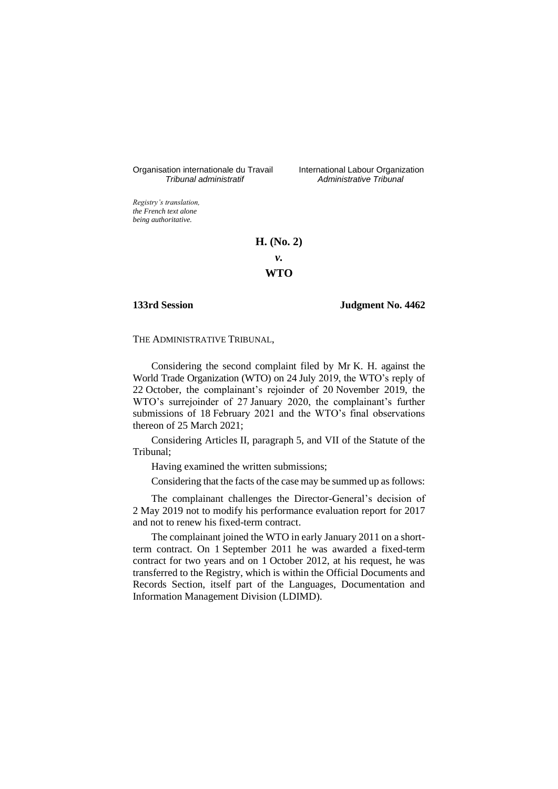Organisation internationale du Travail International Labour Organization<br>
Tribunal administratif Administrative Tribunal

*Tribunal administratif Administrative Tribunal*

*Registry's translation, the French text alone being authoritative.*

## **H. (No. 2)**

*v.*

# **WTO**

## **133rd Session Judgment No. 4462**

## THE ADMINISTRATIVE TRIBUNAL,

Considering the second complaint filed by Mr K. H. against the World Trade Organization (WTO) on 24 July 2019, the WTO's reply of 22 October, the complainant's rejoinder of 20 November 2019, the WTO's surrejoinder of 27 January 2020, the complainant's further submissions of 18 February 2021 and the WTO's final observations thereon of 25 March 2021;

Considering Articles II, paragraph 5, and VII of the Statute of the Tribunal;

Having examined the written submissions;

Considering that the facts of the case may be summed up as follows:

The complainant challenges the Director-General's decision of 2 May 2019 not to modify his performance evaluation report for 2017 and not to renew his fixed-term contract.

The complainant joined the WTO in early January 2011 on a shortterm contract. On 1 September 2011 he was awarded a fixed-term contract for two years and on 1 October 2012, at his request, he was transferred to the Registry, which is within the Official Documents and Records Section, itself part of the Languages, Documentation and Information Management Division (LDIMD).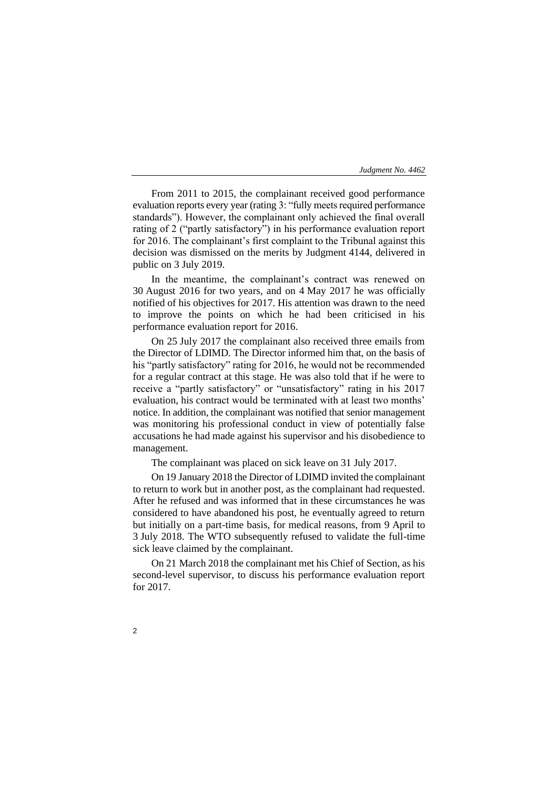From 2011 to 2015, the complainant received good performance evaluation reports every year (rating 3: "fully meets required performance standards"). However, the complainant only achieved the final overall rating of 2 ("partly satisfactory") in his performance evaluation report for 2016. The complainant's first complaint to the Tribunal against this decision was dismissed on the merits by Judgment 4144, delivered in public on 3 July 2019.

In the meantime, the complainant's contract was renewed on 30 August 2016 for two years, and on 4 May 2017 he was officially notified of his objectives for 2017. His attention was drawn to the need to improve the points on which he had been criticised in his performance evaluation report for 2016.

On 25 July 2017 the complainant also received three emails from the Director of LDIMD. The Director informed him that, on the basis of his "partly satisfactory" rating for 2016, he would not be recommended for a regular contract at this stage. He was also told that if he were to receive a "partly satisfactory" or "unsatisfactory" rating in his 2017 evaluation, his contract would be terminated with at least two months' notice. In addition, the complainant was notified that senior management was monitoring his professional conduct in view of potentially false accusations he had made against his supervisor and his disobedience to management.

The complainant was placed on sick leave on 31 July 2017.

On 19 January 2018 the Director of LDIMD invited the complainant to return to work but in another post, as the complainant had requested. After he refused and was informed that in these circumstances he was considered to have abandoned his post, he eventually agreed to return but initially on a part-time basis, for medical reasons, from 9 April to 3 July 2018. The WTO subsequently refused to validate the full-time sick leave claimed by the complainant.

On 21 March 2018 the complainant met his Chief of Section, as his second-level supervisor, to discuss his performance evaluation report for 2017.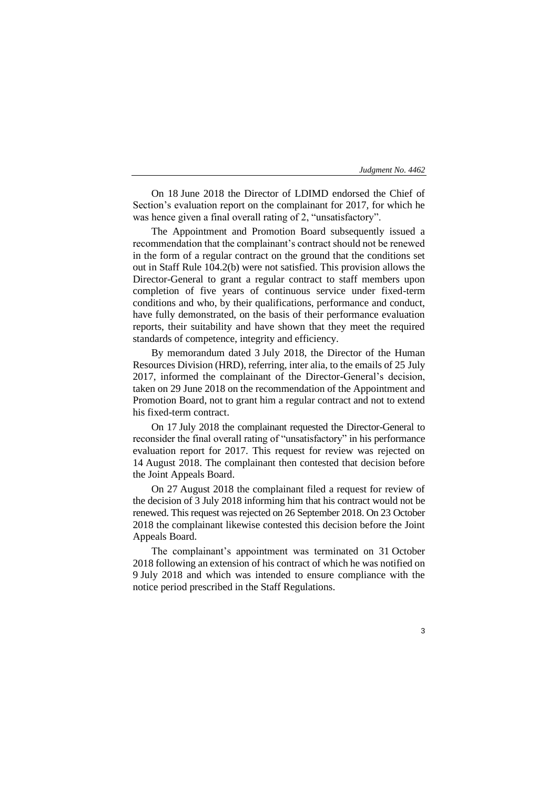On 18 June 2018 the Director of LDIMD endorsed the Chief of Section's evaluation report on the complainant for 2017, for which he was hence given a final overall rating of 2, "unsatisfactory".

The Appointment and Promotion Board subsequently issued a recommendation that the complainant's contract should not be renewed in the form of a regular contract on the ground that the conditions set out in Staff Rule 104.2(b) were not satisfied. This provision allows the Director-General to grant a regular contract to staff members upon completion of five years of continuous service under fixed-term conditions and who, by their qualifications, performance and conduct, have fully demonstrated, on the basis of their performance evaluation reports, their suitability and have shown that they meet the required standards of competence, integrity and efficiency.

By memorandum dated 3 July 2018, the Director of the Human Resources Division (HRD), referring, inter alia, to the emails of 25 July 2017, informed the complainant of the Director-General's decision, taken on 29 June 2018 on the recommendation of the Appointment and Promotion Board, not to grant him a regular contract and not to extend his fixed-term contract.

On 17 July 2018 the complainant requested the Director-General to reconsider the final overall rating of "unsatisfactory" in his performance evaluation report for 2017. This request for review was rejected on 14 August 2018. The complainant then contested that decision before the Joint Appeals Board.

On 27 August 2018 the complainant filed a request for review of the decision of 3 July 2018 informing him that his contract would not be renewed. This request was rejected on 26 September 2018. On 23 October 2018 the complainant likewise contested this decision before the Joint Appeals Board.

The complainant's appointment was terminated on 31 October 2018 following an extension of his contract of which he was notified on 9 July 2018 and which was intended to ensure compliance with the notice period prescribed in the Staff Regulations.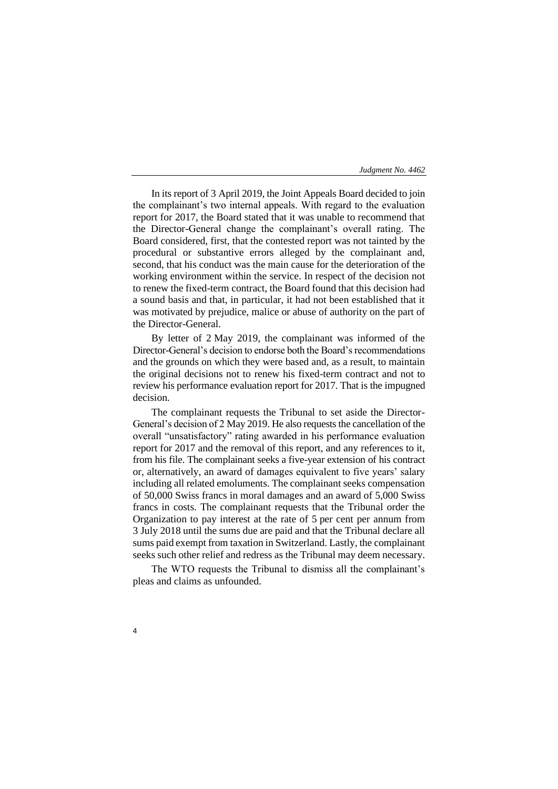In its report of 3 April 2019, the Joint Appeals Board decided to join the complainant's two internal appeals. With regard to the evaluation report for 2017, the Board stated that it was unable to recommend that the Director-General change the complainant's overall rating. The Board considered, first, that the contested report was not tainted by the procedural or substantive errors alleged by the complainant and, second, that his conduct was the main cause for the deterioration of the working environment within the service. In respect of the decision not to renew the fixed-term contract, the Board found that this decision had a sound basis and that, in particular, it had not been established that it was motivated by prejudice, malice or abuse of authority on the part of the Director-General.

By letter of 2 May 2019, the complainant was informed of the Director-General's decision to endorse both the Board's recommendations and the grounds on which they were based and, as a result, to maintain the original decisions not to renew his fixed-term contract and not to review his performance evaluation report for 2017. That is the impugned decision.

The complainant requests the Tribunal to set aside the Director-General's decision of 2 May 2019. He also requests the cancellation of the overall "unsatisfactory" rating awarded in his performance evaluation report for 2017 and the removal of this report, and any references to it, from his file. The complainant seeks a five-year extension of his contract or, alternatively, an award of damages equivalent to five years' salary including all related emoluments. The complainant seeks compensation of 50,000 Swiss francs in moral damages and an award of 5,000 Swiss francs in costs. The complainant requests that the Tribunal order the Organization to pay interest at the rate of 5 per cent per annum from 3 July 2018 until the sums due are paid and that the Tribunal declare all sums paid exempt from taxation in Switzerland. Lastly, the complainant seeks such other relief and redress as the Tribunal may deem necessary.

The WTO requests the Tribunal to dismiss all the complainant's pleas and claims as unfounded.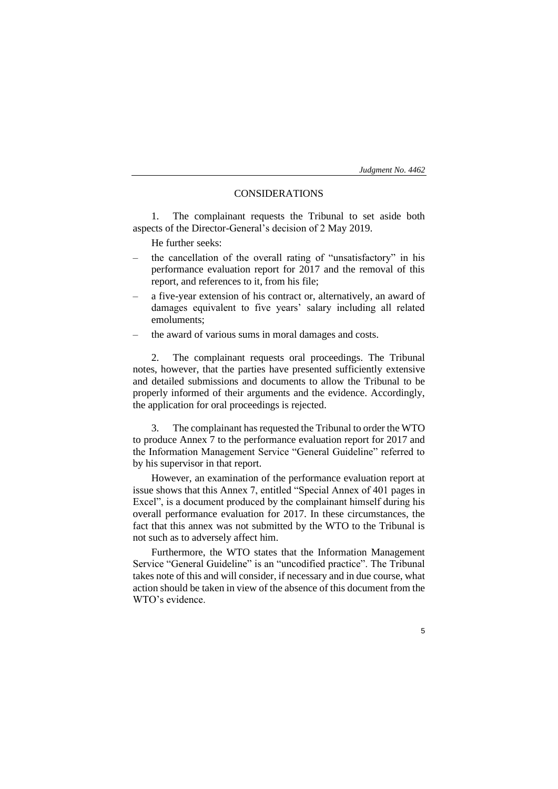5

# CONSIDERATIONS

1. The complainant requests the Tribunal to set aside both aspects of the Director-General's decision of 2 May 2019.

He further seeks:

- the cancellation of the overall rating of "unsatisfactory" in his performance evaluation report for 2017 and the removal of this report, and references to it, from his file;
- a five-year extension of his contract or, alternatively, an award of damages equivalent to five years' salary including all related emoluments;
- the award of various sums in moral damages and costs.

2. The complainant requests oral proceedings. The Tribunal notes, however, that the parties have presented sufficiently extensive and detailed submissions and documents to allow the Tribunal to be properly informed of their arguments and the evidence. Accordingly, the application for oral proceedings is rejected.

3. The complainant has requested the Tribunal to order the WTO to produce Annex 7 to the performance evaluation report for 2017 and the Information Management Service "General Guideline" referred to by his supervisor in that report.

However, an examination of the performance evaluation report at issue shows that this Annex 7, entitled "Special Annex of 401 pages in Excel", is a document produced by the complainant himself during his overall performance evaluation for 2017. In these circumstances, the fact that this annex was not submitted by the WTO to the Tribunal is not such as to adversely affect him.

Furthermore, the WTO states that the Information Management Service "General Guideline" is an "uncodified practice". The Tribunal takes note of this and will consider, if necessary and in due course, what action should be taken in view of the absence of this document from the WTO's evidence.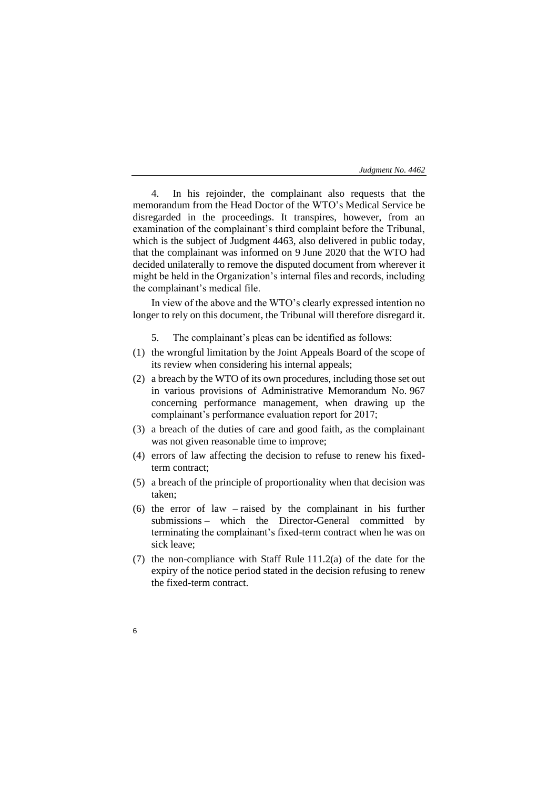4. In his rejoinder, the complainant also requests that the memorandum from the Head Doctor of the WTO's Medical Service be disregarded in the proceedings. It transpires, however, from an examination of the complainant's third complaint before the Tribunal, which is the subject of Judgment 4463, also delivered in public today, that the complainant was informed on 9 June 2020 that the WTO had decided unilaterally to remove the disputed document from wherever it might be held in the Organization's internal files and records, including the complainant's medical file.

In view of the above and the WTO's clearly expressed intention no longer to rely on this document, the Tribunal will therefore disregard it.

- 5. The complainant's pleas can be identified as follows:
- (1) the wrongful limitation by the Joint Appeals Board of the scope of its review when considering his internal appeals;
- (2) a breach by the WTO of its own procedures, including those set out in various provisions of Administrative Memorandum No. 967 concerning performance management, when drawing up the complainant's performance evaluation report for 2017;
- (3) a breach of the duties of care and good faith, as the complainant was not given reasonable time to improve;
- (4) errors of law affecting the decision to refuse to renew his fixedterm contract;
- (5) a breach of the principle of proportionality when that decision was taken;
- (6) the error of law raised by the complainant in his further submissions – which the Director-General committed by terminating the complainant's fixed-term contract when he was on sick leave;
- (7) the non-compliance with Staff Rule 111.2(a) of the date for the expiry of the notice period stated in the decision refusing to renew the fixed-term contract.
- 6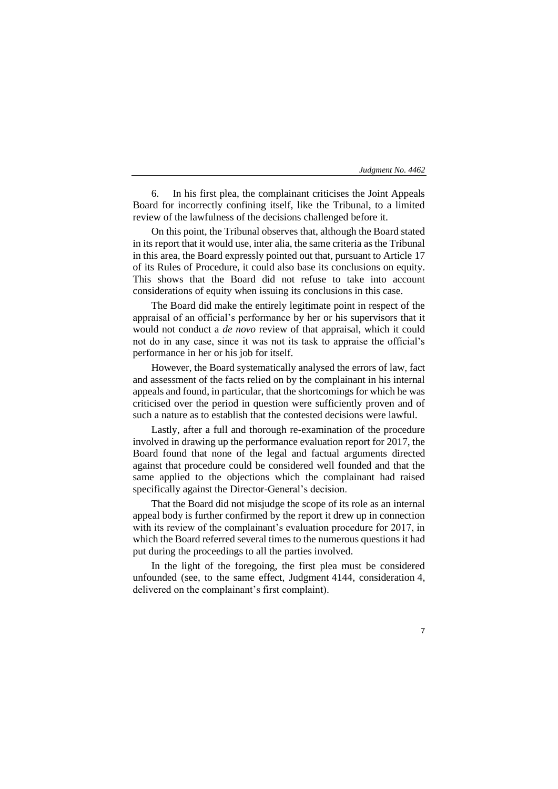6. In his first plea, the complainant criticises the Joint Appeals Board for incorrectly confining itself, like the Tribunal, to a limited review of the lawfulness of the decisions challenged before it.

On this point, the Tribunal observes that, although the Board stated in its report that it would use, inter alia, the same criteria as the Tribunal in this area, the Board expressly pointed out that, pursuant to Article 17 of its Rules of Procedure, it could also base its conclusions on equity. This shows that the Board did not refuse to take into account considerations of equity when issuing its conclusions in this case.

The Board did make the entirely legitimate point in respect of the appraisal of an official's performance by her or his supervisors that it would not conduct a *de novo* review of that appraisal, which it could not do in any case, since it was not its task to appraise the official's performance in her or his job for itself.

However, the Board systematically analysed the errors of law, fact and assessment of the facts relied on by the complainant in his internal appeals and found, in particular, that the shortcomings for which he was criticised over the period in question were sufficiently proven and of such a nature as to establish that the contested decisions were lawful.

Lastly, after a full and thorough re-examination of the procedure involved in drawing up the performance evaluation report for 2017, the Board found that none of the legal and factual arguments directed against that procedure could be considered well founded and that the same applied to the objections which the complainant had raised specifically against the Director-General's decision.

That the Board did not misjudge the scope of its role as an internal appeal body is further confirmed by the report it drew up in connection with its review of the complainant's evaluation procedure for 2017, in which the Board referred several times to the numerous questions it had put during the proceedings to all the parties involved.

In the light of the foregoing, the first plea must be considered unfounded (see, to the same effect, Judgment 4144, consideration 4, delivered on the complainant's first complaint).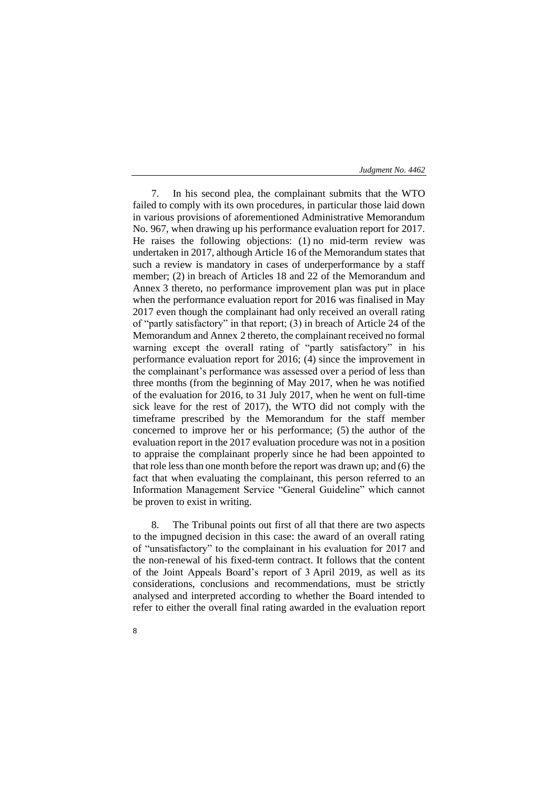7. In his second plea, the complainant submits that the WTO failed to comply with its own procedures, in particular those laid down in various provisions of aforementioned Administrative Memorandum No. 967, when drawing up his performance evaluation report for 2017. He raises the following objections: (1) no mid-term review was undertaken in 2017, although Article 16 of the Memorandum states that such a review is mandatory in cases of underperformance by a staff member; (2) in breach of Articles 18 and 22 of the Memorandum and Annex 3 thereto, no performance improvement plan was put in place when the performance evaluation report for 2016 was finalised in May 2017 even though the complainant had only received an overall rating of "partly satisfactory" in that report; (3) in breach of Article 24 of the Memorandum and Annex 2 thereto, the complainant received no formal warning except the overall rating of "partly satisfactory" in his performance evaluation report for 2016; (4) since the improvement in the complainant's performance was assessed over a period of less than three months (from the beginning of May 2017, when he was notified of the evaluation for 2016, to 31 July 2017, when he went on full-time sick leave for the rest of 2017), the WTO did not comply with the timeframe prescribed by the Memorandum for the staff member concerned to improve her or his performance; (5) the author of the evaluation report in the 2017 evaluation procedure was not in a position to appraise the complainant properly since he had been appointed to that role lessthan one month before the report was drawn up; and (6) the fact that when evaluating the complainant, this person referred to an Information Management Service "General Guideline" which cannot be proven to exist in writing.

8. The Tribunal points out first of all that there are two aspects to the impugned decision in this case: the award of an overall rating of "unsatisfactory" to the complainant in his evaluation for 2017 and the non-renewal of his fixed-term contract. It follows that the content of the Joint Appeals Board's report of 3 April 2019, as well as its considerations, conclusions and recommendations, must be strictly analysed and interpreted according to whether the Board intended to refer to either the overall final rating awarded in the evaluation report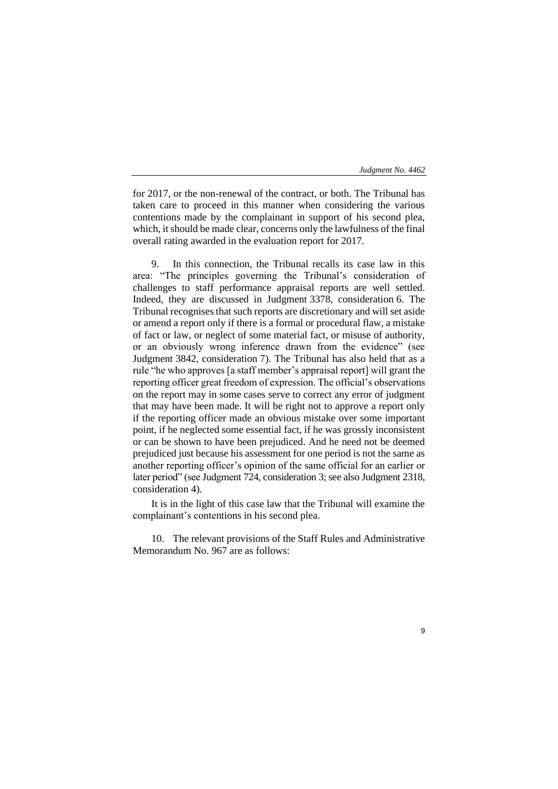9

for 2017, or the non-renewal of the contract, or both. The Tribunal has taken care to proceed in this manner when considering the various contentions made by the complainant in support of his second plea, which, it should be made clear, concerns only the lawfulness of the final overall rating awarded in the evaluation report for 2017.

9. In this connection, the Tribunal recalls its case law in this area: "The principles governing the Tribunal's consideration of challenges to staff performance appraisal reports are well settled. Indeed, they are discussed in Judgment 3378, consideration 6. The Tribunal recognises that such reports are discretionary and will set aside or amend a report only if there is a formal or procedural flaw, a mistake of fact or law, or neglect of some material fact, or misuse of authority, or an obviously wrong inference drawn from the evidence" (see Judgment 3842, consideration 7). The Tribunal has also held that as a rule "he who approves [a staff member's appraisal report] will grant the reporting officer great freedom of expression. The official's observations on the report may in some cases serve to correct any error of judgment that may have been made. It will be right not to approve a report only if the reporting officer made an obvious mistake over some important point, if he neglected some essential fact, if he was grossly inconsistent or can be shown to have been prejudiced. And he need not be deemed prejudiced just because his assessment for one period is not the same as another reporting officer's opinion of the same official for an earlier or later period" (see Judgment 724, consideration 3; see also Judgment 2318, consideration 4).

It is in the light of this case law that the Tribunal will examine the complainant's contentions in his second plea.

10. The relevant provisions of the Staff Rules and Administrative Memorandum No. 967 are as follows: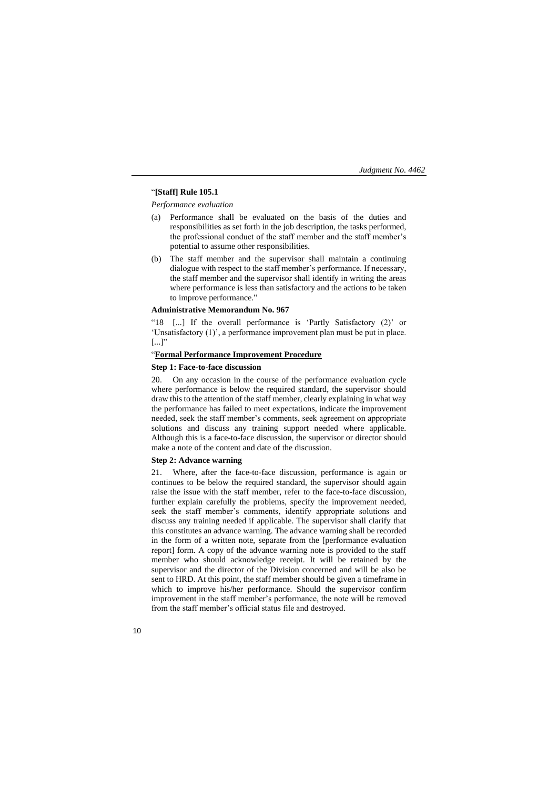# "**[Staff] Rule 105.1**

*Performance evaluation*

- (a) Performance shall be evaluated on the basis of the duties and responsibilities as set forth in the job description, the tasks performed, the professional conduct of the staff member and the staff member's potential to assume other responsibilities.
- (b) The staff member and the supervisor shall maintain a continuing dialogue with respect to the staff member's performance. If necessary, the staff member and the supervisor shall identify in writing the areas where performance is less than satisfactory and the actions to be taken to improve performance."

#### **Administrative Memorandum No. 967**

"18 [...] If the overall performance is 'Partly Satisfactory (2)' or 'Unsatisfactory (1)', a performance improvement plan must be put in place.  $[...]$ "

## "**Formal Performance Improvement Procedure**

#### **Step 1: Face-to-face discussion**

20. On any occasion in the course of the performance evaluation cycle where performance is below the required standard, the supervisor should draw this to the attention of the staff member, clearly explaining in what way the performance has failed to meet expectations, indicate the improvement needed, seek the staff member's comments, seek agreement on appropriate solutions and discuss any training support needed where applicable. Although this is a face-to-face discussion, the supervisor or director should make a note of the content and date of the discussion.

#### **Step 2: Advance warning**

21. Where, after the face-to-face discussion, performance is again or continues to be below the required standard, the supervisor should again raise the issue with the staff member, refer to the face-to-face discussion, further explain carefully the problems, specify the improvement needed, seek the staff member's comments, identify appropriate solutions and discuss any training needed if applicable. The supervisor shall clarify that this constitutes an advance warning. The advance warning shall be recorded in the form of a written note, separate from the [performance evaluation report] form. A copy of the advance warning note is provided to the staff member who should acknowledge receipt. It will be retained by the supervisor and the director of the Division concerned and will be also be sent to HRD. At this point, the staff member should be given a timeframe in which to improve his/her performance. Should the supervisor confirm improvement in the staff member's performance, the note will be removed from the staff member's official status file and destroyed.

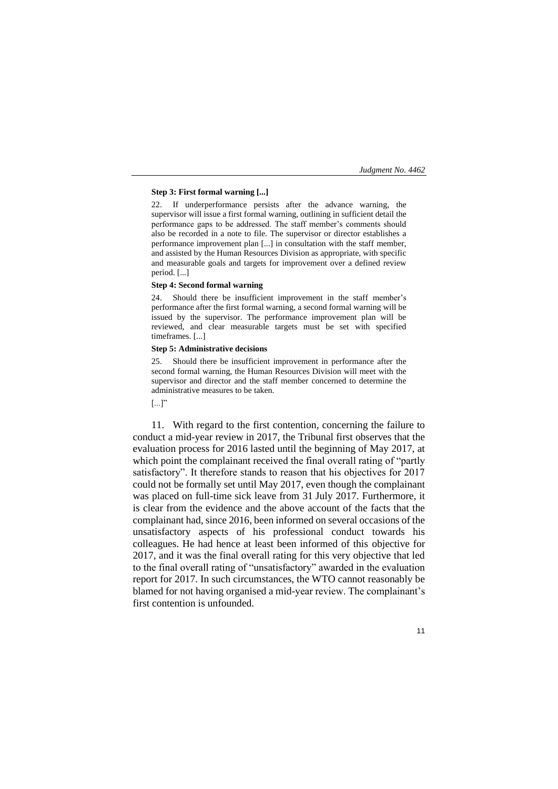## **Step 3: First formal warning [...]**

22. If underperformance persists after the advance warning, the supervisor will issue a first formal warning, outlining in sufficient detail the performance gaps to be addressed. The staff member's comments should also be recorded in a note to file. The supervisor or director establishes a performance improvement plan [...] in consultation with the staff member, and assisted by the Human Resources Division as appropriate, with specific and measurable goals and targets for improvement over a defined review period. [...]

## **Step 4: Second formal warning**

24. Should there be insufficient improvement in the staff member's performance after the first formal warning, a second formal warning will be issued by the supervisor. The performance improvement plan will be reviewed, and clear measurable targets must be set with specified timeframes. [...]

### **Step 5: Administrative decisions**

25. Should there be insufficient improvement in performance after the second formal warning, the Human Resources Division will meet with the supervisor and director and the staff member concerned to determine the administrative measures to be taken.

# $[...]$ "

11. With regard to the first contention, concerning the failure to conduct a mid-year review in 2017, the Tribunal first observes that the evaluation process for 2016 lasted until the beginning of May 2017, at which point the complainant received the final overall rating of "partly satisfactory". It therefore stands to reason that his objectives for 2017 could not be formally set until May 2017, even though the complainant was placed on full-time sick leave from 31 July 2017. Furthermore, it is clear from the evidence and the above account of the facts that the complainant had, since 2016, been informed on several occasions of the unsatisfactory aspects of his professional conduct towards his colleagues. He had hence at least been informed of this objective for 2017, and it was the final overall rating for this very objective that led to the final overall rating of "unsatisfactory" awarded in the evaluation report for 2017. In such circumstances, the WTO cannot reasonably be blamed for not having organised a mid-year review. The complainant's first contention is unfounded.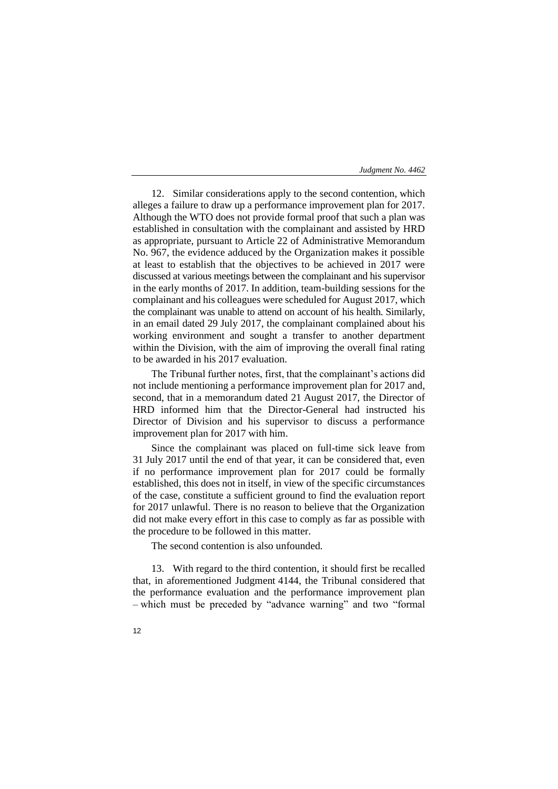12. Similar considerations apply to the second contention, which alleges a failure to draw up a performance improvement plan for 2017. Although the WTO does not provide formal proof that such a plan was established in consultation with the complainant and assisted by HRD as appropriate, pursuant to Article 22 of Administrative Memorandum No. 967, the evidence adduced by the Organization makes it possible at least to establish that the objectives to be achieved in 2017 were discussed at various meetings between the complainant and his supervisor in the early months of 2017. In addition, team-building sessions for the complainant and his colleagues were scheduled for August 2017, which the complainant was unable to attend on account of his health. Similarly, in an email dated 29 July 2017, the complainant complained about his working environment and sought a transfer to another department within the Division, with the aim of improving the overall final rating to be awarded in his 2017 evaluation.

The Tribunal further notes, first, that the complainant's actions did not include mentioning a performance improvement plan for 2017 and, second, that in a memorandum dated 21 August 2017, the Director of HRD informed him that the Director-General had instructed his Director of Division and his supervisor to discuss a performance improvement plan for 2017 with him.

Since the complainant was placed on full-time sick leave from 31 July 2017 until the end of that year, it can be considered that, even if no performance improvement plan for 2017 could be formally established, this does not in itself, in view of the specific circumstances of the case, constitute a sufficient ground to find the evaluation report for 2017 unlawful. There is no reason to believe that the Organization did not make every effort in this case to comply as far as possible with the procedure to be followed in this matter.

The second contention is also unfounded.

13. With regard to the third contention, it should first be recalled that, in aforementioned Judgment 4144, the Tribunal considered that the performance evaluation and the performance improvement plan – which must be preceded by "advance warning" and two "formal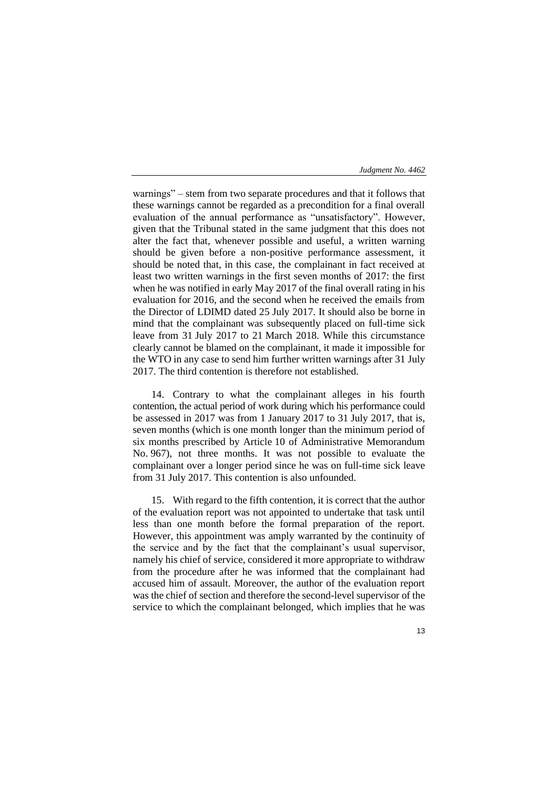warnings" – stem from two separate procedures and that it follows that these warnings cannot be regarded as a precondition for a final overall evaluation of the annual performance as "unsatisfactory". However, given that the Tribunal stated in the same judgment that this does not alter the fact that, whenever possible and useful, a written warning should be given before a non-positive performance assessment, it should be noted that, in this case, the complainant in fact received at least two written warnings in the first seven months of 2017: the first when he was notified in early May 2017 of the final overall rating in his evaluation for 2016, and the second when he received the emails from the Director of LDIMD dated 25 July 2017. It should also be borne in mind that the complainant was subsequently placed on full-time sick leave from 31 July 2017 to 21 March 2018. While this circumstance clearly cannot be blamed on the complainant, it made it impossible for the WTO in any case to send him further written warnings after 31 July 2017. The third contention is therefore not established.

14. Contrary to what the complainant alleges in his fourth contention, the actual period of work during which his performance could be assessed in 2017 was from 1 January 2017 to 31 July 2017, that is, seven months (which is one month longer than the minimum period of six months prescribed by Article 10 of Administrative Memorandum No. 967), not three months. It was not possible to evaluate the complainant over a longer period since he was on full-time sick leave from 31 July 2017. This contention is also unfounded.

15. With regard to the fifth contention, it is correct that the author of the evaluation report was not appointed to undertake that task until less than one month before the formal preparation of the report. However, this appointment was amply warranted by the continuity of the service and by the fact that the complainant's usual supervisor, namely his chief of service, considered it more appropriate to withdraw from the procedure after he was informed that the complainant had accused him of assault. Moreover, the author of the evaluation report was the chief of section and therefore the second-level supervisor of the service to which the complainant belonged, which implies that he was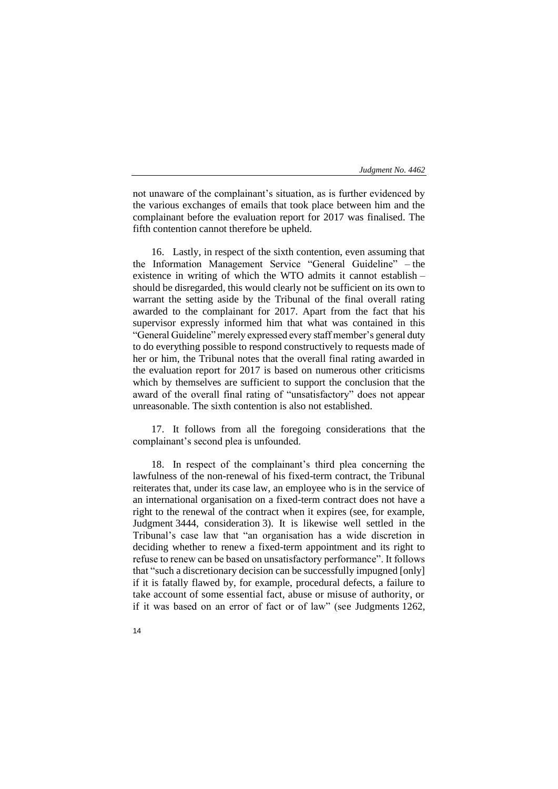not unaware of the complainant's situation, as is further evidenced by the various exchanges of emails that took place between him and the complainant before the evaluation report for 2017 was finalised. The fifth contention cannot therefore be upheld.

16. Lastly, in respect of the sixth contention, even assuming that the Information Management Service "General Guideline" – the existence in writing of which the WTO admits it cannot establish – should be disregarded, this would clearly not be sufficient on its own to warrant the setting aside by the Tribunal of the final overall rating awarded to the complainant for 2017. Apart from the fact that his supervisor expressly informed him that what was contained in this "General Guideline" merely expressed every staff member's general duty to do everything possible to respond constructively to requests made of her or him, the Tribunal notes that the overall final rating awarded in the evaluation report for 2017 is based on numerous other criticisms which by themselves are sufficient to support the conclusion that the award of the overall final rating of "unsatisfactory" does not appear unreasonable. The sixth contention is also not established.

17. It follows from all the foregoing considerations that the complainant's second plea is unfounded.

18. In respect of the complainant's third plea concerning the lawfulness of the non-renewal of his fixed-term contract, the Tribunal reiterates that, under its case law, an employee who is in the service of an international organisation on a fixed-term contract does not have a right to the renewal of the contract when it expires (see, for example, Judgment 3444, consideration 3). It is likewise well settled in the Tribunal's case law that "an organisation has a wide discretion in deciding whether to renew a fixed-term appointment and its right to refuse to renew can be based on unsatisfactory performance". It follows that "such a discretionary decision can be successfully impugned [only] if it is fatally flawed by, for example, procedural defects, a failure to take account of some essential fact, abuse or misuse of authority, or if it was based on an error of fact or of law" (see Judgments 1262,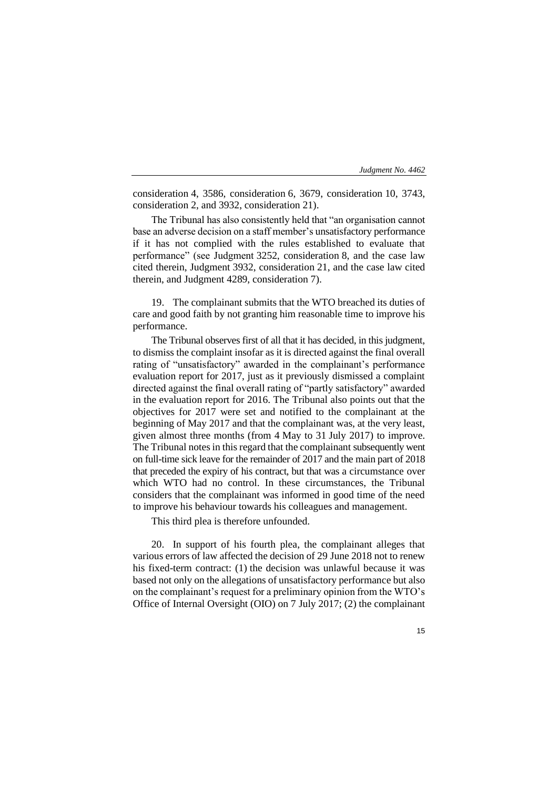consideration 4, 3586, consideration 6, 3679, consideration 10, 3743, consideration 2, and 3932, consideration 21).

The Tribunal has also consistently held that "an organisation cannot base an adverse decision on a staff member's unsatisfactory performance if it has not complied with the rules established to evaluate that performance" (see Judgment 3252, consideration 8, and the case law cited therein, Judgment 3932, consideration 21, and the case law cited therein, and Judgment 4289, consideration 7).

19. The complainant submits that the WTO breached its duties of care and good faith by not granting him reasonable time to improve his performance.

The Tribunal observes first of all that it has decided, in this judgment, to dismiss the complaint insofar as it is directed against the final overall rating of "unsatisfactory" awarded in the complainant's performance evaluation report for 2017, just as it previously dismissed a complaint directed against the final overall rating of "partly satisfactory" awarded in the evaluation report for 2016. The Tribunal also points out that the objectives for 2017 were set and notified to the complainant at the beginning of May 2017 and that the complainant was, at the very least, given almost three months (from 4 May to 31 July 2017) to improve. The Tribunal notes in this regard that the complainant subsequently went on full-time sick leave for the remainder of 2017 and the main part of 2018 that preceded the expiry of his contract, but that was a circumstance over which WTO had no control. In these circumstances, the Tribunal considers that the complainant was informed in good time of the need to improve his behaviour towards his colleagues and management.

This third plea is therefore unfounded.

20. In support of his fourth plea, the complainant alleges that various errors of law affected the decision of 29 June 2018 not to renew his fixed-term contract: (1) the decision was unlawful because it was based not only on the allegations of unsatisfactory performance but also on the complainant's request for a preliminary opinion from the WTO's Office of Internal Oversight (OIO) on 7 July 2017; (2) the complainant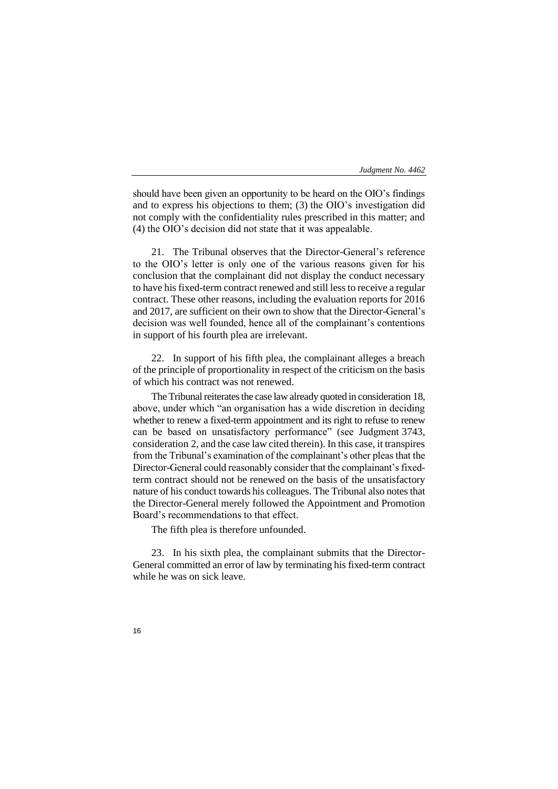should have been given an opportunity to be heard on the OIO's findings and to express his objections to them; (3) the OIO's investigation did not comply with the confidentiality rules prescribed in this matter; and (4) the OIO's decision did not state that it was appealable.

21. The Tribunal observes that the Director-General's reference to the OIO's letter is only one of the various reasons given for his conclusion that the complainant did not display the conduct necessary to have his fixed-term contract renewed and still less to receive a regular contract. These other reasons, including the evaluation reports for 2016 and 2017, are sufficient on their own to show that the Director-General's decision was well founded, hence all of the complainant's contentions in support of his fourth plea are irrelevant.

22. In support of his fifth plea, the complainant alleges a breach of the principle of proportionality in respect of the criticism on the basis of which his contract was not renewed.

The Tribunal reiterates the case law already quoted in consideration 18, above, under which "an organisation has a wide discretion in deciding whether to renew a fixed-term appointment and its right to refuse to renew can be based on unsatisfactory performance" (see Judgment 3743, consideration 2, and the case law cited therein). In this case, it transpires from the Tribunal's examination of the complainant's other pleas that the Director-General could reasonably consider that the complainant's fixedterm contract should not be renewed on the basis of the unsatisfactory nature of his conduct towards his colleagues. The Tribunal also notes that the Director-General merely followed the Appointment and Promotion Board's recommendations to that effect.

The fifth plea is therefore unfounded.

23. In his sixth plea, the complainant submits that the Director-General committed an error of law by terminating his fixed-term contract while he was on sick leave.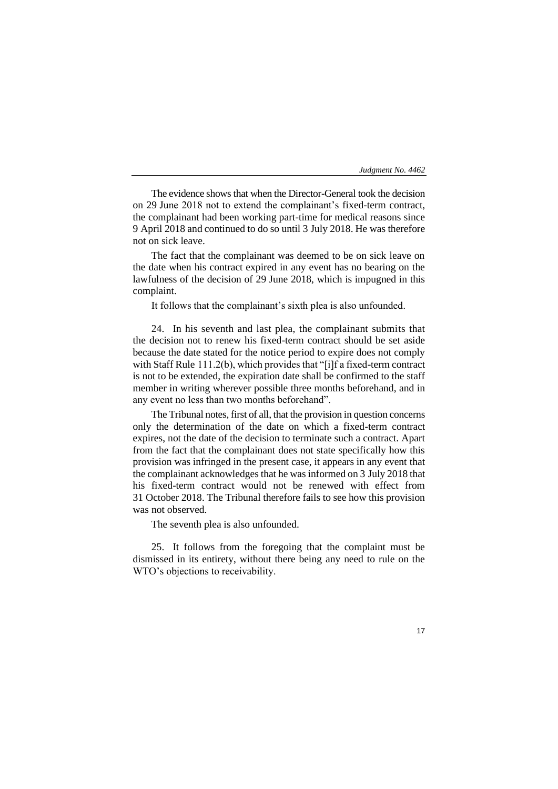The evidence shows that when the Director-General took the decision on 29 June 2018 not to extend the complainant's fixed-term contract, the complainant had been working part-time for medical reasons since 9 April 2018 and continued to do so until 3 July 2018. He was therefore not on sick leave.

The fact that the complainant was deemed to be on sick leave on the date when his contract expired in any event has no bearing on the lawfulness of the decision of 29 June 2018, which is impugned in this complaint.

It follows that the complainant's sixth plea is also unfounded.

24. In his seventh and last plea, the complainant submits that the decision not to renew his fixed-term contract should be set aside because the date stated for the notice period to expire does not comply with Staff Rule 111.2(b), which provides that "[i]f a fixed-term contract is not to be extended, the expiration date shall be confirmed to the staff member in writing wherever possible three months beforehand, and in any event no less than two months beforehand".

The Tribunal notes, first of all, that the provision in question concerns only the determination of the date on which a fixed-term contract expires, not the date of the decision to terminate such a contract. Apart from the fact that the complainant does not state specifically how this provision was infringed in the present case, it appears in any event that the complainant acknowledges that he was informed on 3 July 2018 that his fixed-term contract would not be renewed with effect from 31 October 2018. The Tribunal therefore fails to see how this provision was not observed.

The seventh plea is also unfounded.

25. It follows from the foregoing that the complaint must be dismissed in its entirety, without there being any need to rule on the WTO's objections to receivability.